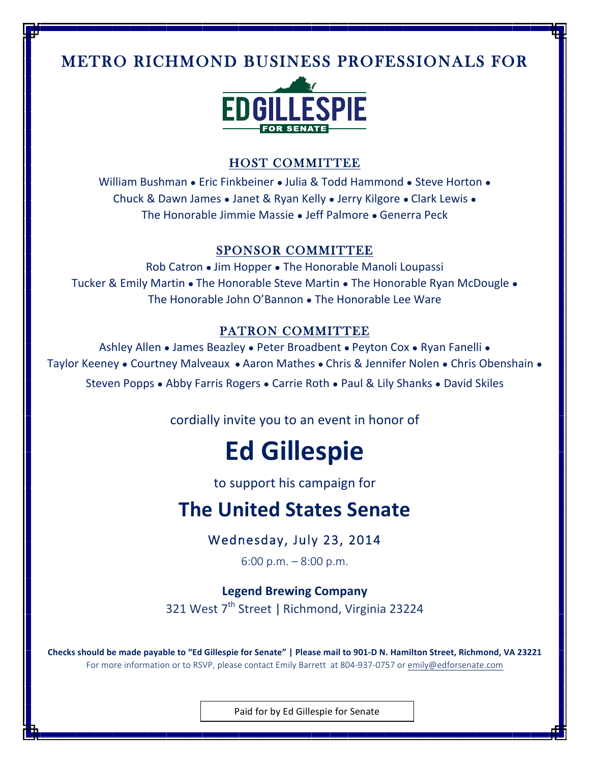### METRO RICHMOND BUSINESS PROFESSIONALS FOR



### HOST COMMITTEE

William Bushman **●** Eric Finkbeiner **●** Julia & Todd Hammond **●** Steve Horton **●** Chuck & Dawn James **●** Janet & Ryan Kelly **●** Jerry Kilgore **●** Clark Lewis **●** The Honorable Jimmie Massie • Jeff Palmore • Generra Peck

### SPONSOR COMMITTEE

Rob Catron • Jim Hopper • The Honorable Manoli Loupassi Tucker & Emily Martin • The Honorable Steve Martin • The Honorable Ryan McDougle • The Honorable John O'Bannon • The Honorable Lee Ware

### PATRON COMMITTEE

Ashley Allen • James Beazley • Peter Broadbent • Peyton Cox • Ryan Fanelli • Taylor Keeney • Courtney Malveaux • Aaron Mathes • Chris & Jennifer Nolen • Chris Obenshain • Steven Popps • Abby Farris Rogers • Carrie Roth • Paul & Lily Shanks • David Skiles

cordially invite you to an event in honor of

# **Ed Gillespie**

to support his campaign for

## **The United States Senate**

Wednesday, July 23, 2014

6:00 p.m. – 8:00 p.m.

### **Legend Brewing Company**

321 West 7<sup>th</sup> Street | Richmond, Virginia 23224

Checks should be made payable to "Ed Gillespie for Senate" | Please mail to 901-D N. Hamilton Street, Richmond, VA 23221 For more information or to RSVP, please contact Emily Barrett at 804-937-0757 or emily@edforsenate.com

Paid for by Ed Gillespie for Senate